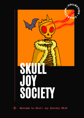

**Welcome to Skull Joy Society \$SJS**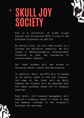# **SKULL JOY SOCIETY**



SJS is a collection of 4,444 unique digital and collectible NFTs living on the Ethereum blockchain as ERC-721.

By owning a SJS, you will have access to a private and exclusive community. We will create a Metaverse-Native entertainment franchise to push the boundaries of entertainment industry.

Our loyal Holders will get access to exclusive perks, events and merchandise.

In addition, Skull Joy NFTs will be backed by an equity stake in the SJS treasury, the name of the token will be \$SJS, however Our holders will be rewarded with SJS token airdrops based off of treasury earnings.

Each month, SJS treasury management will publish a treasury report in order to keep SJS members informed of the treasury's holdings and earnings.

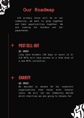

# **Our Roadmap**

SJS primary focus will be on our community, we want to grow together and take opportunities together. We are looking for Holders not for paperhands.

## **POST SELL-OUT**

#### **Q1 2022**

Long term Holders (30 days or more) of 2+ SJS NFTs will have access to a free drop of a new NFTs collection.

# **CHARITY**

#### **Q2 2022**

We decided to donate 5% for nonprofit organisations that helps with funeral costs. We will let our community decide which charities we are going to donate for.

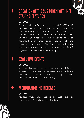

## **CREATION OFTHE SJS TOKEN WITH NFT STAKING FEATURES**

#### **Q3 2022**

Members who hold one or more SJS NFT will be rewarded with a unique project token for contributing the success of the community. SJS NFTs will be backed by an equity stake in the SJS treasury, our holders will be rewarded with this token based off the treasury earnings. Staking has endlessly applications and we welcome any additional suggestions from the community!!

# **EXCLUSIVE EVENTS**

#### **Q4 2022**

we love to party we will grant our Holders access to very exclusive events and private parties. (Fifa World Cup 2022 tickets,Private parties etc.)

# MERCHANDISING RELEASE

#### **Q5 2022**

holders will have access to high quality merch (caps/t shirts/sweatshirts..).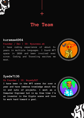

## **The Team**

#### **kurama#4964**

#### **Founder / Dev | IG: @youness.ek**

I have coding experience of about 6+  $\frac{1}{2}$  (1) years in multiple languages. I found NFT space in 2020 and been involved ever since. Coding and Traveling excites me years in multiple languages. I found NFT space in 2020 and been involved ever since. Coding and Traveling excites me most.



## **Syed#7136**

#### **Co Founder | IG: @syedy527**

**I have been in the NFT scene for over a year and have immense knowledge about the in and outs of projects. I work as a Computer Engineer but in my free time I'm an investor in the Crypto scene and love to work hard toward a goal.**



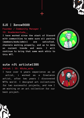

## **SJS | Xeno#5688**

**Founder / Community Manager | IG: @nadermortada\_\_**

**I I Community Manager |<br>
<b>I C**: @nadermortada\_\_<br> **I** have worked since the start of Discord<br>
with communities to make sure all parties<br>
(members/mods/admin) are satisfied,<br>
channels working properly, and up to date<br> **with communities to make sure all parties (members/mods/admin) are satisfied, channels working properly, and up to date on current trends and more. I will continue to bring that same work ethic to this NFT.**



### **sute nft artist#1386**

#### **Artist | IG: @Sute\_arts**

I have over 4 years experience as an artist, i worked as a freelance artist, after two years I discovered NFTs world. I designed art collections for two successful projects, and now I am working on an art collection for our best project.



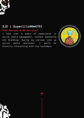

## **SJS | Superlilo90#4761**

**POAP Manager & SM Assistant**

I have over 4 years of experience in social media management, content marketing and branding. During my various jobs as social media assistant, I would be directly interacting with the customers.



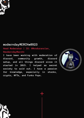

## **moderndayMERCH#0923**

**Head Moderator | IG: @Mrsduranclan, @moderndayMerch1**

**I have been working with moderation of discord, community growth, discord setup, and all things discord since it started in 2015. I helped xx secret society to sold out. I have a passion for knowledge, especially in stocks, crypto, NFTs, and Funko Pops.**